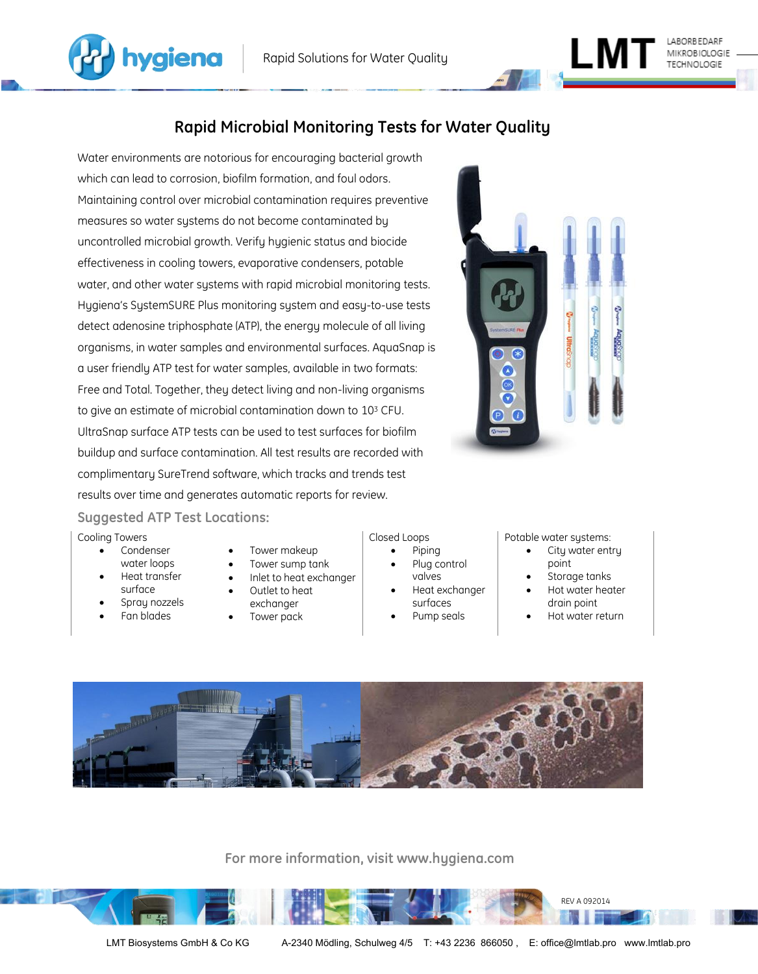

# **Rapid Microbial Monitoring Tests for Water Quality**

Water environments are notorious for encouraging bacterial growth which can lead to corrosion, biofilm formation, and foul odors. Maintaining control over microbial contamination requires preventive measures so water systems do not become contaminated by uncontrolled microbial growth. Verify hygienic status and biocide effectiveness in cooling towers, evaporative condensers, potable water, and other water systems with rapid microbial monitoring tests. Hygiena's SystemSURE Plus monitoring system and easy-to-use tests detect adenosine triphosphate (ATP), the energy molecule of all living organisms, in water samples and environmental surfaces. AquaSnap is a user friendly ATP test for water samples, available in two formats: Free and Total. Together, they detect living and non-living organisms to give an estimate of microbial contamination down to 10<sup>3</sup> CFU. UltraSnap surface ATP tests can be used to test surfaces for biofilm buildup and surface contamination. All test results are recorded with complimentary SureTrend software, which tracks and trends test results over time and generates automatic reports for review.



ww.hygiena.com

TECHNOLOGIE

# **Suggested ATP Test Locations:**

#### Cooling Towers

- Condenser water loops
- Heat transfer
- surface • Spray nozzels
- Fan blades
- Tower makeup
- Tower sump tank
- Inlet to heat exchanger
- Outlet to heat exchanger
- Tower pack

## Closed Loops

- Piping
- Plug control
- valves Heat exchanger
- surfaces
- Pump seals

## Potable water systems:

- City water entry point
- Storage tanks
- Hot water heater drain point
- Hot water return



**For more information, visit www.hygiena.com**